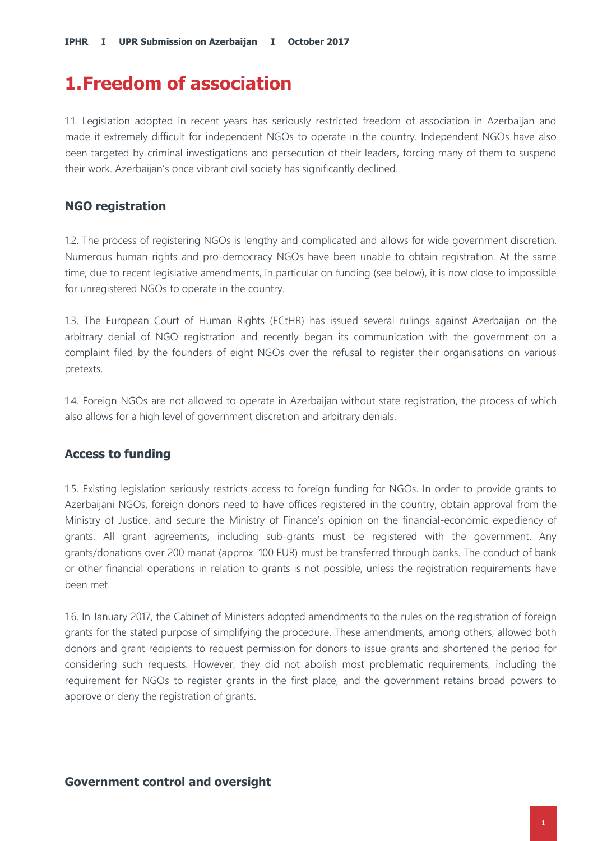## **1.Freedom of association**

1.1. Legislation adopted in recent years has seriously restricted freedom of association in Azerbaijan and made it extremely difficult for independent NGOs to operate in the country. Independent NGOs have also been targeted by criminal investigations and persecution of their leaders, forcing many of them to suspend their work. Azerbaijan's once vibrant civil society has significantly declined.

### **NGO registration**

1.2. The process of registering NGOs is lengthy and complicated and allows for wide government discretion. Numerous human rights and pro-democracy NGOs have been unable to obtain registration. At the same time, due to recent legislative amendments, in particular on funding (see below), it is now close to impossible for unregistered NGOs to operate in the country.

1.3. The European Court of Human Rights (ECtHR) has issued several rulings against Azerbaijan on the arbitrary denial of NGO registration and recently began its communication with the government on a complaint filed by the founders of eight NGOs over the refusal to register their organisations on various pretexts.

1.4. Foreign NGOs are not allowed to operate in Azerbaijan without state registration, the process of which also allows for a high level of government discretion and arbitrary denials.

## **Access to funding**

1.5. Existing legislation seriously restricts access to foreign funding for NGOs. In order to provide grants to Azerbaijani NGOs, foreign donors need to have offices registered in the country, obtain approval from the Ministry of Justice, and secure the Ministry of Finance's opinion on the financial-economic expediency of grants. All grant agreements, including sub-grants must be registered with the government. Any grants/donations over 200 manat (approx. 100 EUR) must be transferred through banks. The conduct of bank or other financial operations in relation to grants is not possible, unless the registration requirements have been met.

1.6. In January 2017, the Cabinet of Ministers adopted amendments to the rules on the registration of foreign grants for the stated purpose of simplifying the procedure. These amendments, among others, allowed both donors and grant recipients to request permission for donors to issue grants and shortened the period for considering such requests. However, they did not abolish most problematic requirements, including the requirement for NGOs to register grants in the first place, and the government retains broad powers to approve or deny the registration of grants.

### **Government control and oversight**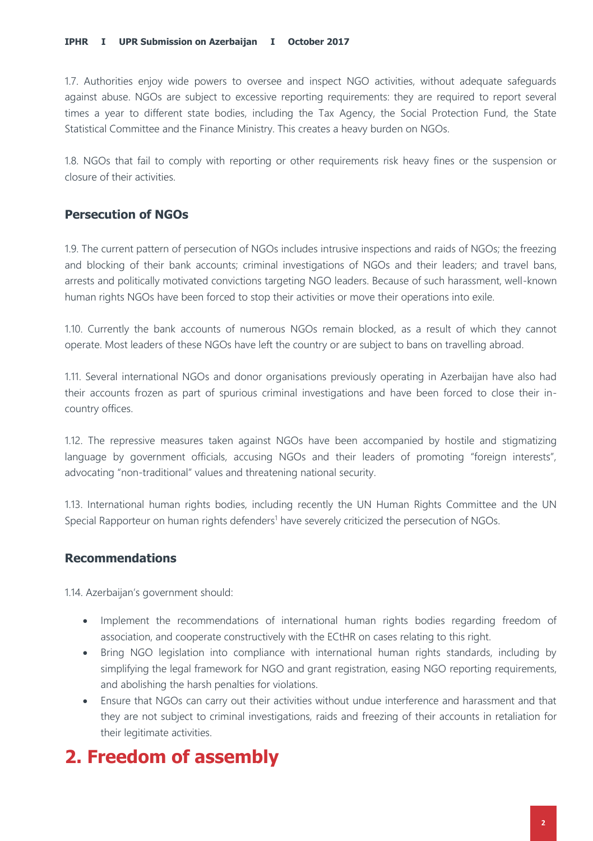1.7. Authorities enjoy wide powers to oversee and inspect NGO activities, without adequate safeguards against abuse. NGOs are subject to excessive reporting requirements: they are required to report several times a year to different state bodies, including the Tax Agency, the Social Protection Fund, the State Statistical Committee and the Finance Ministry. This creates a heavy burden on NGOs.

1.8. NGOs that fail to comply with reporting or other requirements risk heavy fines or the suspension or closure of their activities.

### **Persecution of NGOs**

1.9. The current pattern of persecution of NGOs includes intrusive inspections and raids of NGOs; the freezing and blocking of their bank accounts; criminal investigations of NGOs and their leaders; and travel bans, arrests and politically motivated convictions targeting NGO leaders. Because of such harassment, well-known human rights NGOs have been forced to stop their activities or move their operations into exile.

1.10. Currently the bank accounts of numerous NGOs remain blocked, as a result of which they cannot operate. Most leaders of these NGOs have left the country or are subject to bans on travelling abroad.

1.11. Several international NGOs and donor organisations previously operating in Azerbaijan have also had their accounts frozen as part of spurious criminal investigations and have been forced to close their incountry offices.

1.12. The repressive measures taken against NGOs have been accompanied by hostile and stigmatizing language by government officials, accusing NGOs and their leaders of promoting "foreign interests", advocating "non-traditional" values and threatening national security.

1.13. International human rights bodies, including recently the UN Human Rights Committee and the UN Special Rapporteur on human rights defenders<sup>1</sup> have severely criticized the persecution of NGOs.

### **Recommendations**

1.14. Azerbaijan's government should:

- Implement the recommendations of international human rights bodies regarding freedom of association, and cooperate constructively with the ECtHR on cases relating to this right.
- Bring NGO legislation into compliance with international human rights standards, including by simplifying the legal framework for NGO and grant registration, easing NGO reporting requirements, and abolishing the harsh penalties for violations.
- Ensure that NGOs can carry out their activities without undue interference and harassment and that they are not subject to criminal investigations, raids and freezing of their accounts in retaliation for their legitimate activities.

## **2. Freedom of assembly**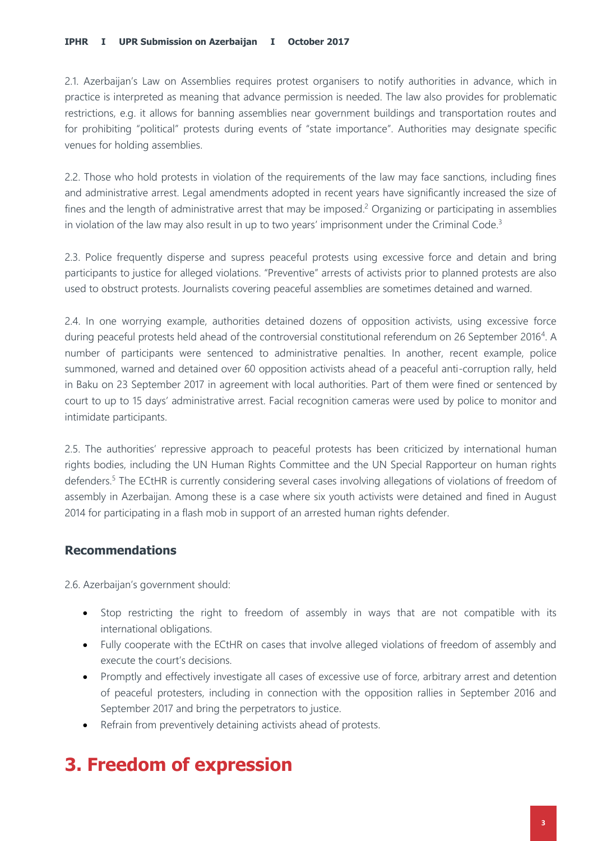2.1. Azerbaijan's Law on Assemblies requires protest organisers to notify authorities in advance, which in practice is interpreted as meaning that advance permission is needed. The law also provides for problematic restrictions, e.g. it allows for banning assemblies near government buildings and transportation routes and for prohibiting "political" protests during events of "state importance". Authorities may designate specific venues for holding assemblies.

2.2. Those who hold protests in violation of the requirements of the law may face sanctions, including fines and administrative arrest. Legal amendments adopted in recent years have significantly increased the size of fines and the length of administrative arrest that may be imposed.<sup>2</sup> Organizing or participating in assemblies in violation of the law may also result in up to two years' imprisonment under the Criminal Code.<sup>3</sup>

2.3. Police frequently disperse and supress peaceful protests using excessive force and detain and bring participants to justice for alleged violations. "Preventive" arrests of activists prior to planned protests are also used to obstruct protests. Journalists covering peaceful assemblies are sometimes detained and warned.

2.4. In one worrying example, authorities detained dozens of opposition activists, using excessive force during peaceful protests held ahead of the controversial constitutional referendum on 26 September 2016<sup>4</sup>. A number of participants were sentenced to administrative penalties. In another, recent example, police summoned, warned and detained over 60 opposition activists ahead of a peaceful anti-corruption rally, held in Baku on 23 September 2017 in agreement with local authorities. Part of them were fined or sentenced by court to up to 15 days' administrative arrest. Facial recognition cameras were used by police to monitor and intimidate participants.

2.5. The authorities' repressive approach to peaceful protests has been criticized by international human rights bodies, including the UN Human Rights Committee and the UN Special Rapporteur on human rights defenders.<sup>5</sup> The ECtHR is currently considering several cases involving allegations of violations of freedom of assembly in Azerbaijan. Among these is a case where six youth activists were detained and fined in August 2014 for participating in a flash mob in support of an arrested human rights defender.

### **Recommendations**

2.6. Azerbaijan's government should:

- Stop restricting the right to freedom of assembly in ways that are not compatible with its international obligations.
- Fully cooperate with the ECtHR on cases that involve alleged violations of freedom of assembly and execute the court's decisions.
- Promptly and effectively investigate all cases of excessive use of force, arbitrary arrest and detention of peaceful protesters, including in connection with the opposition rallies in September 2016 and September 2017 and bring the perpetrators to justice.
- Refrain from preventively detaining activists ahead of protests.

# **3. Freedom of expression**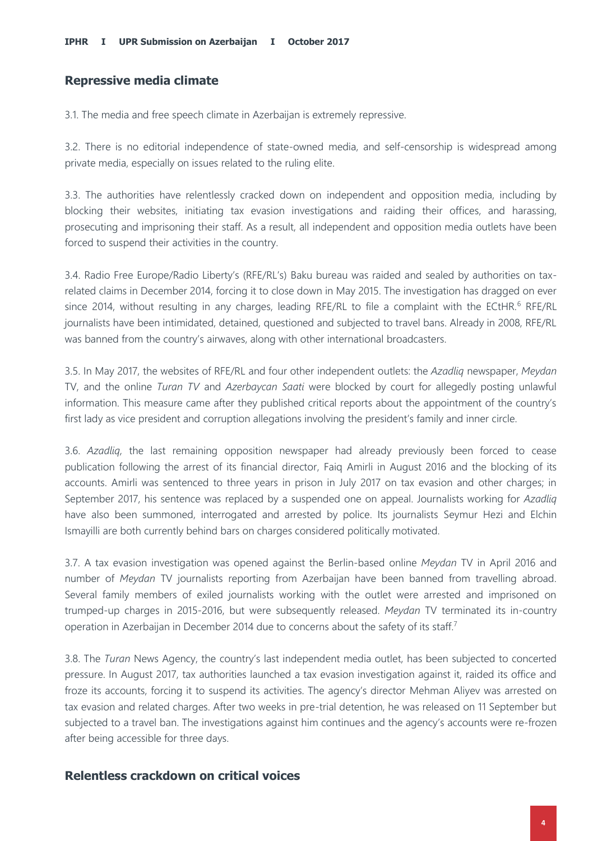#### **Repressive media climate**

3.1. The media and free speech climate in Azerbaijan is extremely repressive.

3.2. There is no editorial independence of state-owned media, and self-censorship is widespread among private media, especially on issues related to the ruling elite.

3.3. The authorities have relentlessly cracked down on independent and opposition media, including by blocking their websites, initiating tax evasion investigations and raiding their offices, and harassing, prosecuting and imprisoning their staff. As a result, all independent and opposition media outlets have been forced to suspend their activities in the country.

3.4. Radio Free Europe/Radio Liberty's (RFE/RL's) Baku bureau was raided and sealed by authorities on taxrelated claims in December 2014, forcing it to close down in May 2015. The investigation has dragged on ever since 2014, without resulting in any charges, leading RFE/RL to file a complaint with the ECtHR.<sup>6</sup> RFE/RL journalists have been intimidated, detained, questioned and subjected to travel bans. Already in 2008, RFE/RL was banned from the country's airwaves, along with other international broadcasters.

3.5. In May 2017, the websites of RFE/RL and four other independent outlets: the *Azadliq* newspaper, *Meydan* TV, and the online *Turan TV* and *Azerbaycan Saati* were blocked by court for allegedly posting unlawful information. This measure came after they published critical reports about the appointment of the country's first lady as vice president and corruption allegations involving the president's family and inner circle.

3.6. *Azadliq,* the last remaining opposition newspaper had already previously been forced to cease publication following the arrest of its financial director, Faiq Amirli in August 2016 and the blocking of its accounts. Amirli was sentenced to three years in prison in July 2017 on tax evasion and other charges; in September 2017, his sentence was replaced by a suspended one on appeal. Journalists working for *Azadliq*  have also been summoned, interrogated and arrested by police. Its journalists Seymur Hezi and Elchin Ismayilli are both currently behind bars on charges considered politically motivated.

3.7. A tax evasion investigation was opened against the Berlin-based online *Meydan* TV in April 2016 and number of *Meydan* TV journalists reporting from Azerbaijan have been banned from travelling abroad. Several family members of exiled journalists working with the outlet were arrested and imprisoned on trumped-up charges in 2015-2016, but were subsequently released. *Meydan* TV terminated its in-country operation in Azerbaijan in December 2014 due to concerns about the safety of its staff.<sup>7</sup>

3.8. The *Turan* News Agency, the country's last independent media outlet, has been subjected to concerted pressure. In August 2017, tax authorities launched a tax evasion investigation against it, raided its office and froze its accounts, forcing it to suspend its activities. The agency's director Mehman Aliyev was arrested on tax evasion and related charges. After two weeks in pre-trial detention, he was released on 11 September but subjected to a travel ban. The investigations against him continues and the agency's accounts were re-frozen after being accessible for three days.

#### **Relentless crackdown on critical voices**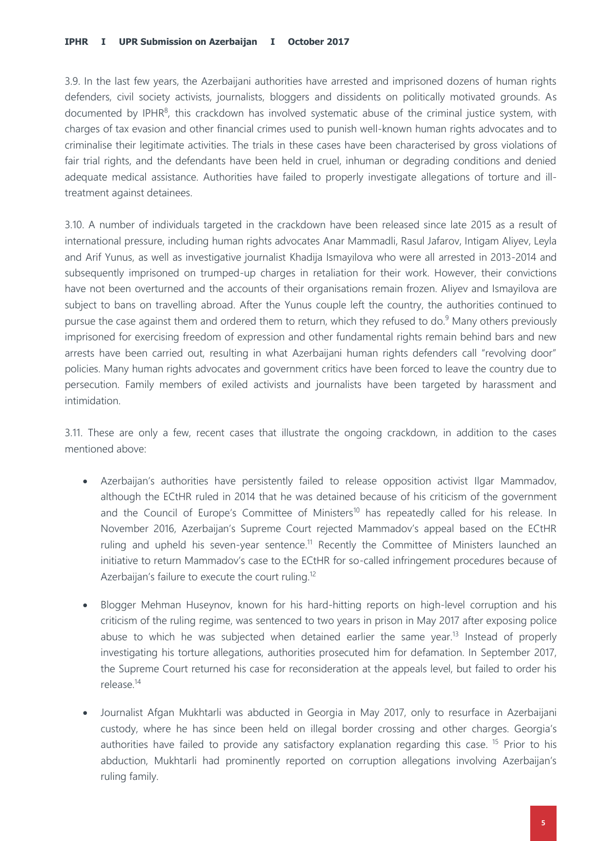3.9. In the last few years, the Azerbaijani authorities have arrested and imprisoned dozens of human rights defenders, civil society activists, journalists, bloggers and dissidents on politically motivated grounds. As documented by IPHR<sup>8</sup>, this crackdown has involved systematic abuse of the criminal justice system, with charges of tax evasion and other financial crimes used to punish well-known human rights advocates and to criminalise their legitimate activities. The trials in these cases have been characterised by gross violations of fair trial rights, and the defendants have been held in cruel, inhuman or degrading conditions and denied adequate medical assistance. Authorities have failed to properly investigate allegations of torture and illtreatment against detainees.

3.10. A number of individuals targeted in the crackdown have been released since late 2015 as a result of international pressure, including human rights advocates Anar Mammadli, Rasul Jafarov, Intigam Aliyev, Leyla and Arif Yunus, as well as investigative journalist Khadija Ismayilova who were all arrested in 2013-2014 and subsequently imprisoned on trumped-up charges in retaliation for their work. However, their convictions have not been overturned and the accounts of their organisations remain frozen. Aliyev and Ismayilova are subject to bans on travelling abroad. After the Yunus couple left the country, the authorities continued to pursue the case against them and ordered them to return, which they refused to do.<sup>9</sup> Many others previously imprisoned for exercising freedom of expression and other fundamental rights remain behind bars and new arrests have been carried out, resulting in what Azerbaijani human rights defenders call "revolving door" policies. Many human rights advocates and government critics have been forced to leave the country due to persecution. Family members of exiled activists and journalists have been targeted by harassment and intimidation.

3.11. These are only a few, recent cases that illustrate the ongoing crackdown, in addition to the cases mentioned above:

- Azerbaijan's authorities have persistently failed to release opposition activist Ilgar Mammadov, although the ECtHR ruled in 2014 that he was detained because of his criticism of the government and the Council of Europe's Committee of Ministers<sup>10</sup> has repeatedly called for his release. In November 2016, Azerbaijan's Supreme Court rejected Mammadov's appeal based on the ECtHR ruling and upheld his seven-year sentence.<sup>11</sup> Recently the Committee of Ministers launched an initiative to return Mammadov's case to the ECtHR for so-called infringement procedures because of Azerbaijan's failure to execute the court ruling.<sup>12</sup>
- Blogger Mehman Huseynov, known for his hard-hitting reports on high-level corruption and his criticism of the ruling regime, was sentenced to two years in prison in May 2017 after exposing police abuse to which he was subjected when detained earlier the same year.<sup>13</sup> Instead of properly investigating his torture allegations, authorities prosecuted him for defamation. In September 2017, the Supreme Court returned his case for reconsideration at the appeals level, but failed to order his release.<sup>14</sup>
- Journalist Afgan Mukhtarli was abducted in Georgia in May 2017, only to resurface in Azerbaijani custody, where he has since been held on illegal border crossing and other charges. Georgia's authorities have failed to provide any satisfactory explanation regarding this case. <sup>15</sup> Prior to his abduction, Mukhtarli had prominently reported on corruption allegations involving Azerbaijan's ruling family.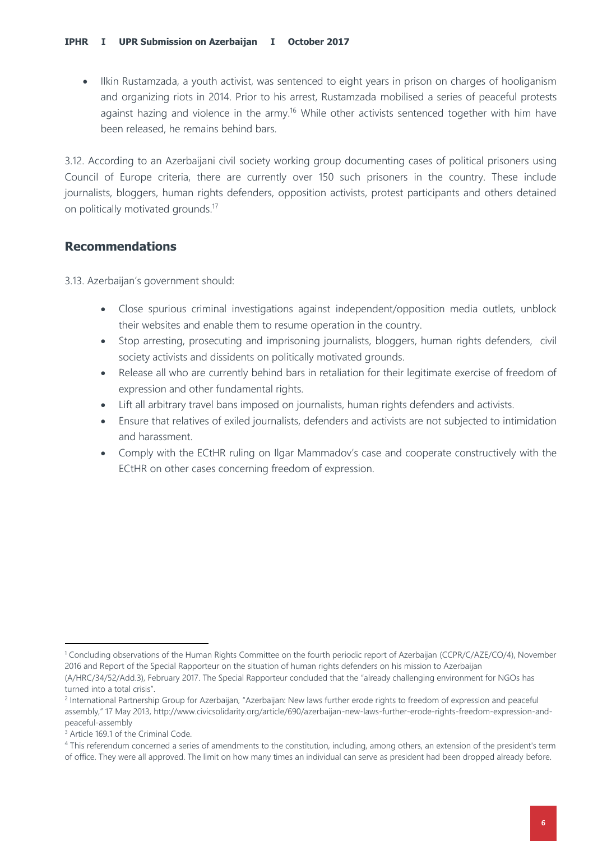• Ilkin Rustamzada, a youth activist, was sentenced to eight years in prison on charges of hooliganism and organizing riots in 2014. Prior to his arrest, Rustamzada mobilised a series of peaceful protests against hazing and violence in the army.<sup>16</sup> While other activists sentenced together with him have been released, he remains behind bars.

3.12. According to an Azerbaijani civil society working group documenting cases of political prisoners using Council of Europe criteria, there are currently over 150 such prisoners in the country. These include journalists, bloggers, human rights defenders, opposition activists, protest participants and others detained on politically motivated grounds.<sup>17</sup>

### **Recommendations**

3.13. Azerbaijan's government should:

- Close spurious criminal investigations against independent/opposition media outlets, unblock their websites and enable them to resume operation in the country.
- Stop arresting, prosecuting and imprisoning journalists, bloggers, human rights defenders, civil society activists and dissidents on politically motivated grounds.
- Release all who are currently behind bars in retaliation for their legitimate exercise of freedom of expression and other fundamental rights.
- Lift all arbitrary travel bans imposed on journalists, human rights defenders and activists.
- Ensure that relatives of exiled journalists, defenders and activists are not subjected to intimidation and harassment.
- Comply with the ECtHR ruling on Ilgar Mammadov's case and cooperate constructively with the ECtHR on other cases concerning freedom of expression.

1

<sup>1</sup> Concluding observations of the Human Rights Committee on the fourth periodic report of Azerbaijan (CCPR/C/AZE/CO/4), November 2016 and Report of the Special Rapporteur on the situation of human rights defenders on his mission to Azerbaijan (A/HRC/34/52/Add.3), February 2017. The Special Rapporteur concluded that the "already challenging environment for NGOs has turned into a total crisis".

<sup>&</sup>lt;sup>2</sup> International Partnership Group for Azerbaijan, "Azerbaijan: New laws further erode rights to freedom of expression and peaceful assembly," 17 May 2013, http://www.civicsolidarity.org/article/690/azerbaijan-new-laws-further-erode-rights-freedom-expression-andpeaceful-assembly

<sup>&</sup>lt;sup>3</sup> Article 169.1 of the Criminal Code.

<sup>&</sup>lt;sup>4</sup> This referendum concerned a series of amendments to the constitution, including, among others, an extension of the president's term of office. They were all approved. The limit on how many times an individual can serve as president had been dropped already before.